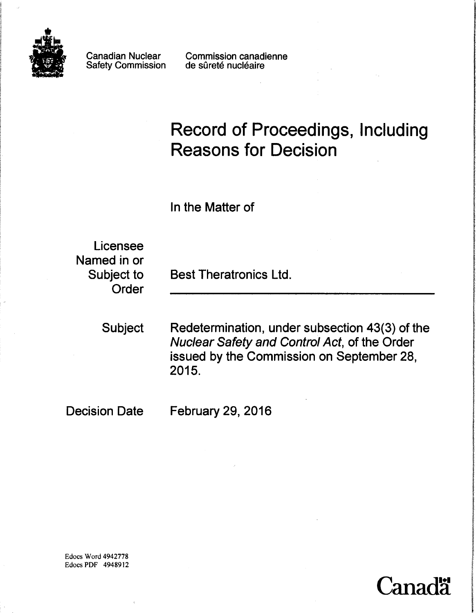

Canadian Nuclear Safety Commission

Commission canadienne de sûreté nucléaire

# Record of Proceedings, Including **Reasons for Decision**

In the Matter of

Licensee Named in or Order

Subject to Best Theratronics Ltd.

Subject Redetermination, under subsection 43(3) of the Nuclear Safety and Control Act, of the Order issued by the Commission on September 28, 2015.

'anad**'**i

Decision Date February 29, 2016

Edocs Word 4942778 Edocs PDF 4948912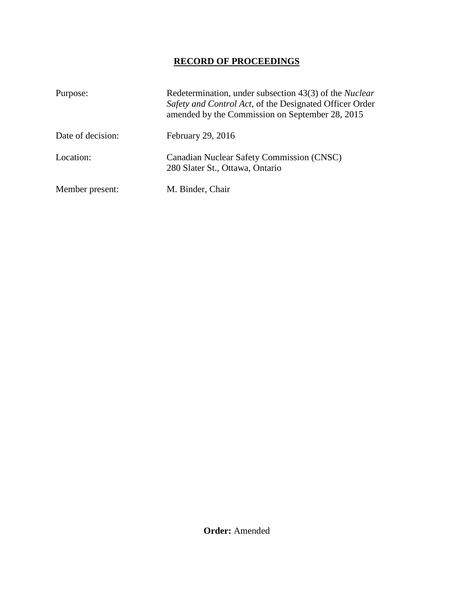## **RECORD OF PROCEEDINGS**

| Purpose:          | Redetermination, under subsection 43(3) of the <i>Nuclear</i><br>Safety and Control Act, of the Designated Officer Order<br>amended by the Commission on September 28, 2015 |
|-------------------|-----------------------------------------------------------------------------------------------------------------------------------------------------------------------------|
| Date of decision: | February 29, 2016                                                                                                                                                           |
| Location:         | <b>Canadian Nuclear Safety Commission (CNSC)</b><br>280 Slater St., Ottawa, Ontario                                                                                         |
| Member present:   | M. Binder, Chair                                                                                                                                                            |

**Order:** Amended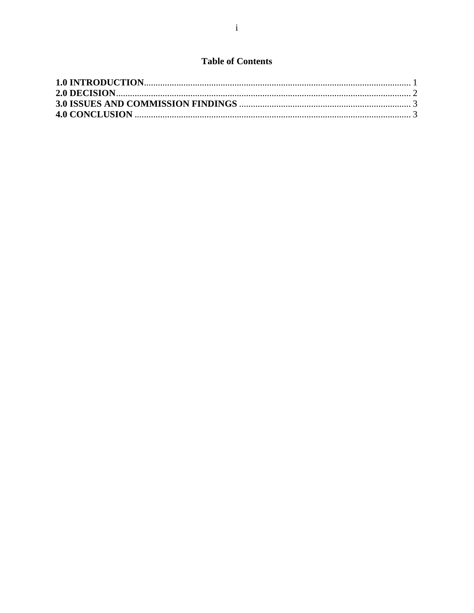## **Table of Contents**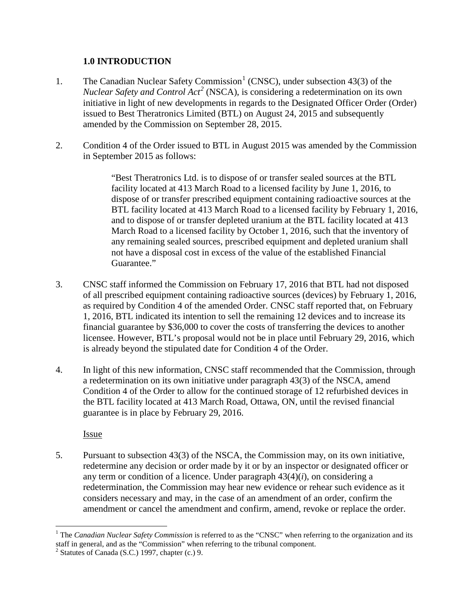### <span id="page-3-0"></span>**1.0 INTRODUCTION**

- [1](#page-3-1). The Canadian Nuclear Safety Commission<sup>1</sup> (CNSC), under subsection 43(3) of the *Nuclear Safety and Control Act[2](#page-3-2)* (NSCA), is considering a redetermination on its own initiative in light of new developments in regards to the Designated Officer Order (Order) issued to Best Theratronics Limited (BTL) on August 24, 2015 and subsequently amended by the Commission on September 28, 2015.
- 2. Condition 4 of the Order issued to BTL in August 2015 was amended by the Commission in September 2015 as follows:

"Best Theratronics Ltd. is to dispose of or transfer sealed sources at the BTL facility located at 413 March Road to a licensed facility by June 1, 2016, to dispose of or transfer prescribed equipment containing radioactive sources at the BTL facility located at 413 March Road to a licensed facility by February 1, 2016, and to dispose of or transfer depleted uranium at the BTL facility located at 413 March Road to a licensed facility by October 1, 2016, such that the inventory of any remaining sealed sources, prescribed equipment and depleted uranium shall not have a disposal cost in excess of the value of the established Financial Guarantee."

- 3. CNSC staff informed the Commission on February 17, 2016 that BTL had not disposed of all prescribed equipment containing radioactive sources (devices) by February 1, 2016, as required by Condition 4 of the amended Order. CNSC staff reported that, on February 1, 2016, BTL indicated its intention to sell the remaining 12 devices and to increase its financial guarantee by \$36,000 to cover the costs of transferring the devices to another licensee. However, BTL's proposal would not be in place until February 29, 2016, which is already beyond the stipulated date for Condition 4 of the Order.
- 4. In light of this new information, CNSC staff recommended that the Commission, through a redetermination on its own initiative under paragraph 43(3) of the NSCA, amend Condition 4 of the Order to allow for the continued storage of 12 refurbished devices in the BTL facility located at 413 March Road, Ottawa, ON, until the revised financial guarantee is in place by February 29, 2016.

Issue

5. Pursuant to subsection 43(3) of the NSCA, the Commission may, on its own initiative, redetermine any decision or order made by it or by an inspector or designated officer or any term or condition of a licence. Under paragraph  $43(4)(i)$ , on considering a redetermination, the Commission may hear new evidence or rehear such evidence as it considers necessary and may, in the case of an amendment of an order, confirm the amendment or cancel the amendment and confirm, amend, revoke or replace the order.

<span id="page-3-1"></span> $\overline{a}$ <sup>1</sup> The *Canadian Nuclear Safety Commission* is referred to as the "CNSC" when referring to the organization and its staff in general, and as the "Commission" when referring to the tribunal component.<br><sup>2</sup> Statutes of Canada (S.C.) 1997, chapter (c.) 9.

<span id="page-3-2"></span>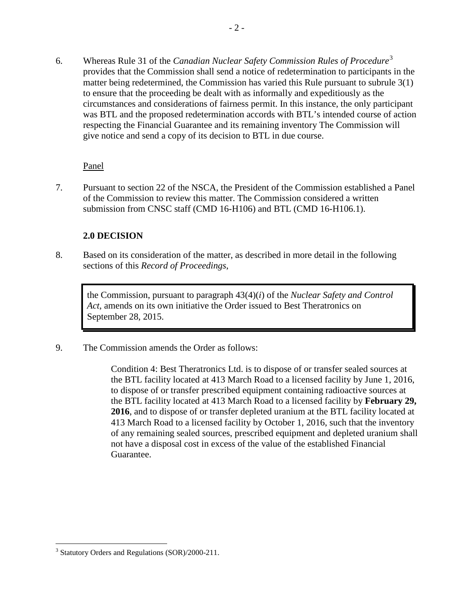6. Whereas Rule 31 of the *Canadian Nuclear Safety Commission Rules of Procedure*[3](#page-4-1)  provides that the Commission shall send a notice of redetermination to participants in the matter being redetermined, the Commission has varied this Rule pursuant to subrule 3(1) to ensure that the proceeding be dealt with as informally and expeditiously as the circumstances and considerations of fairness permit. In this instance, the only participant was BTL and the proposed redetermination accords with BTL's intended course of action respecting the Financial Guarantee and its remaining inventory The Commission will give notice and send a copy of its decision to BTL in due course.

### Panel

7. Pursuant to section 22 of the NSCA, the President of the Commission established a Panel of the Commission to review this matter. The Commission considered a written submission from CNSC staff (CMD 16-H106) and BTL (CMD 16-H106.1).

#### <span id="page-4-0"></span>**2.0 DECISION**

8. Based on its consideration of the matter, as described in more detail in the following sections of this *Record of Proceedings*,

the Commission, pursuant to paragraph 43(4)(*i*) of the *Nuclear Safety and Control Act*, amends on its own initiative the Order issued to Best Theratronics on September 28, 2015.

9. The Commission amends the Order as follows:

Condition 4: Best Theratronics Ltd. is to dispose of or transfer sealed sources at the BTL facility located at 413 March Road to a licensed facility by June 1, 2016, to dispose of or transfer prescribed equipment containing radioactive sources at the BTL facility located at 413 March Road to a licensed facility by **February 29, 2016**, and to dispose of or transfer depleted uranium at the BTL facility located at 413 March Road to a licensed facility by October 1, 2016, such that the inventory of any remaining sealed sources, prescribed equipment and depleted uranium shall not have a disposal cost in excess of the value of the established Financial Guarantee.

1

<span id="page-4-1"></span><sup>&</sup>lt;sup>3</sup> Statutory Orders and Regulations (SOR)/2000-211.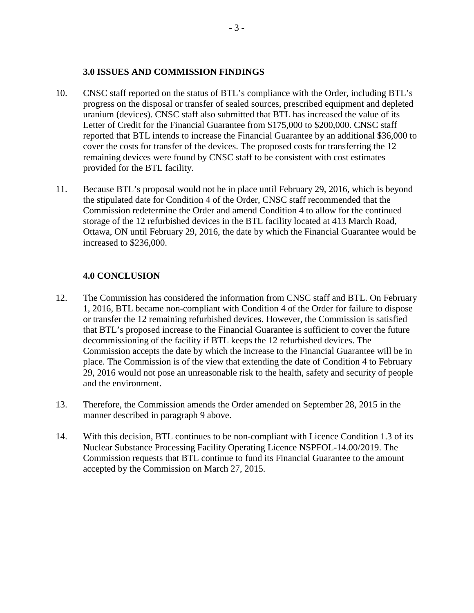#### <span id="page-5-0"></span>**3.0 ISSUES AND COMMISSION FINDINGS**

- 10. CNSC staff reported on the status of BTL's compliance with the Order, including BTL's progress on the disposal or transfer of sealed sources, prescribed equipment and depleted uranium (devices). CNSC staff also submitted that BTL has increased the value of its Letter of Credit for the Financial Guarantee from \$175,000 to \$200,000. CNSC staff reported that BTL intends to increase the Financial Guarantee by an additional \$36,000 to cover the costs for transfer of the devices. The proposed costs for transferring the 12 remaining devices were found by CNSC staff to be consistent with cost estimates provided for the BTL facility.
- 11. Because BTL's proposal would not be in place until February 29, 2016, which is beyond the stipulated date for Condition 4 of the Order, CNSC staff recommended that the Commission redetermine the Order and amend Condition 4 to allow for the continued storage of the 12 refurbished devices in the BTL facility located at 413 March Road, Ottawa, ON until February 29, 2016, the date by which the Financial Guarantee would be increased to \$236,000.

#### <span id="page-5-1"></span>**4.0 CONCLUSION**

- 12. The Commission has considered the information from CNSC staff and BTL. On February 1, 2016, BTL became non-compliant with Condition 4 of the Order for failure to dispose or transfer the 12 remaining refurbished devices. However, the Commission is satisfied that BTL's proposed increase to the Financial Guarantee is sufficient to cover the future decommissioning of the facility if BTL keeps the 12 refurbished devices. The Commission accepts the date by which the increase to the Financial Guarantee will be in place. The Commission is of the view that extending the date of Condition 4 to February 29, 2016 would not pose an unreasonable risk to the health, safety and security of people and the environment.
- 13. Therefore, the Commission amends the Order amended on September 28, 2015 in the manner described in paragraph 9 above.
- 14. With this decision, BTL continues to be non-compliant with Licence Condition 1.3 of its Nuclear Substance Processing Facility Operating Licence NSPFOL-14.00/2019. The Commission requests that BTL continue to fund its Financial Guarantee to the amount accepted by the Commission on March 27, 2015.